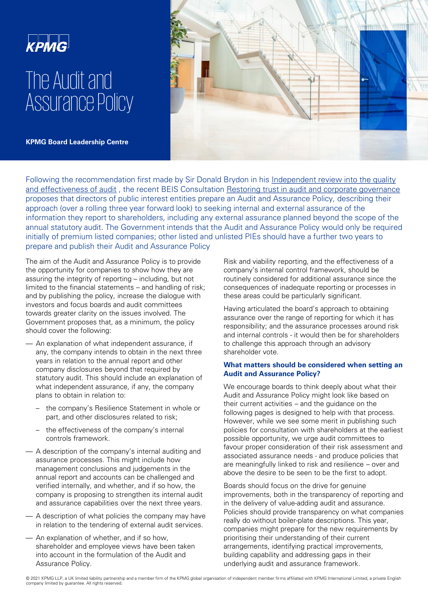

# The Audit and Assurance Policy

**KPMG Board Leadership Centre** 



[Following the recommendation first made by Sir Donald Brydon in his Independent review into the quality](https://assets.publishing.service.gov.uk/government/uploads/system/uploads/attachment_data/file/852960/brydon-review-final-report.pdf)  and effectiveness of audit , the recent BEIS Consultation [Restoring trust in audit and corporate governance](https://assets.publishing.service.gov.uk/government/uploads/system/uploads/attachment_data/file/970673/restoring-trust-in-audit-and-corporate-governance-command-paper.pdf)  proposes that directors of public interest entities prepare an Audit and Assurance Policy, describing their approach (over a rolling three year forward look) to seeking internal and external assurance of the information they report to shareholders, including any external assurance planned beyond the scope of the annual statutory audit. The Government intends that the Audit and Assurance Policy would only be required initially of premium listed companies; other listed and unlisted PIEs should have a further two years to prepare and publish their Audit and Assurance Policy

The aim of the Audit and Assurance Policy is to provide the opportunity for companies to show how they are assuring the integrity of reporting – including, but not limited to the financial statements – and handling of risk; and by publishing the policy, increase the dialogue with investors and focus boards and audit committees towards greater clarity on the issues involved. The Government proposes that, as a minimum, the policy should cover the following:

- An explanation of what independent assurance, if any, the company intends to obtain in the next three years in relation to the annual report and other company disclosures beyond that required by statutory audit. This should include an explanation of what independent assurance, if any, the company plans to obtain in relation to:
	- the company's Resilience Statement in whole or part, and other disclosures related to risk;
	- the effectiveness of the company's internal controls framework.
- A description of the company's internal auditing and assurance processes. This might include how management conclusions and judgements in the annual report and accounts can be challenged and verified internally, and whether, and if so how, the company is proposing to strengthen its internal audit and assurance capabilities over the next three years.
- A description of what policies the company may have in relation to the tendering of external audit services.
- An explanation of whether, and if so how, shareholder and employee views have been taken into account in the formulation of the Audit and Assurance Policy.

Risk and viability reporting, and the effectiveness of a company's internal control framework, should be routinely considered for additional assurance since the consequences of inadequate reporting or processes in these areas could be particularly significant.

Having articulated the board's approach to obtaining assurance over the range of reporting for which it has responsibility; and the assurance processes around risk and internal controls - it would then be for shareholders to challenge this approach through an advisory shareholder vote.

## **What matters should be considered when setting an Audit and Assurance Policy?**

We encourage boards to think deeply about what their Audit and Assurance Policy might look like based on their current activities – and the guidance on the following pages is designed to help with that process. However, while we see some merit in publishing such policies for consultation with shareholders at the earliest possible opportunity, we urge audit committees to favour proper consideration of their risk assessment and associated assurance needs - and produce policies that are meaningfully linked to risk and resilience – over and above the desire to be seen to be the first to adopt.

Boards should focus on the drive for genuine improvements, both in the transparency of reporting and in the delivery of value-adding audit and assurance. Policies should provide transparency on what companies really do without boiler-plate descriptions. This year, companies might prepare for the new requirements by prioritising their understanding of their current arrangements, identifying practical improvements, building capability and addressing gaps in their underlying audit and assurance framework.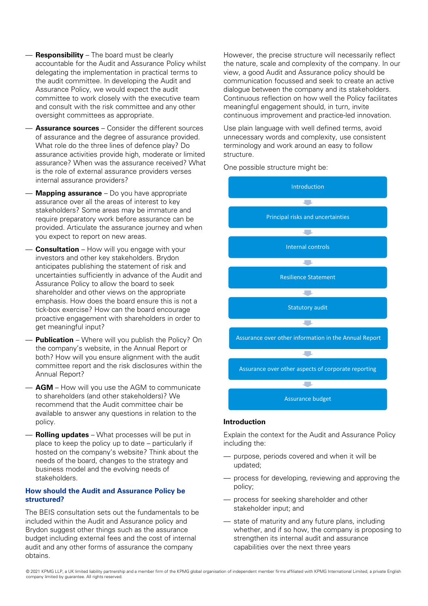- **Responsibility** The board must be clearly accountable for the Audit and Assurance Policy whilst delegating the implementation in practical terms to the audit committee. In developing the Audit and Assurance Policy, we would expect the audit committee to work closely with the executive team and consult with the risk committee and any other oversight committees as appropriate.
- **Assurance sources**  Consider the different sources of assurance and the degree of assurance provided. What role do the three lines of defence play? Do assurance activities provide high, moderate or limited assurance? When was the assurance received? What is the role of external assurance providers verses internal assurance providers?
- **Mapping assurance**  Do you have appropriate assurance over all the areas of interest to key stakeholders? Some areas may be immature and require preparatory work before assurance can be provided. Articulate the assurance journey and when you expect to report on new areas.
- **Consultation** How will you engage with your investors and other key stakeholders. Brydon anticipates publishing the statement of risk and uncertainties sufficiently in advance of the Audit and Assurance Policy to allow the board to seek shareholder and other views on the appropriate emphasis. How does the board ensure this is not a tick-box exercise? How can the board encourage proactive engagement with shareholders in order to get meaningful input?
- **Publication** Where will you publish the Policy? On the company's website, in the Annual Report or both? How will you ensure alignment with the audit committee report and the risk disclosures within the Annual Report?
- **AGM** How will you use the AGM to communicate to shareholders (and other stakeholders)? We recommend that the Audit committee chair be available to answer any questions in relation to the policy.
- **Rolling updates**  What processes will be put in place to keep the policy up to date – particularly if hosted on the company's website? Think about the needs of the board, changes to the strategy and business model and the evolving needs of stakeholders.

## **How should the Audit and Assurance Policy be structured?**

The BEIS consultation sets out the fundamentals to be included within the Audit and Assurance policy and Brydon suggest other things such as the assurance budget including external fees and the cost of internal audit and any other forms of assurance the company obtains.

However, the precise structure will necessarily reflect the nature, scale and complexity of the company. In our view, a good Audit and Assurance policy should be communication focussed and seek to create an active dialogue between the company and its stakeholders. Continuous reflection on how well the Policy facilitates meaningful engagement should, in turn, invite continuous improvement and practice-led innovation.

Use plain language with well defined terms, avoid unnecessary words and complexity, use consistent terminology and work around an easy to follow structure.

One possible structure might be:



#### **Introduction**

Explain the context for the Audit and Assurance Policy including the:

- purpose, periods covered and when it will be updated;
- process for developing, reviewing and approving the policy;
- process for seeking shareholder and other stakeholder input; and
- state of maturity and any future plans, including whether, and if so how, the company is proposing to strengthen its internal audit and assurance capabilities over the next three years

© 2021 KPMG LLP, a UK limited liability partnership and a member firm of the KPMG global organisation of independent member firms affiliated with KPMG International Limited, a private English company limited by guarantee. All rights reserved.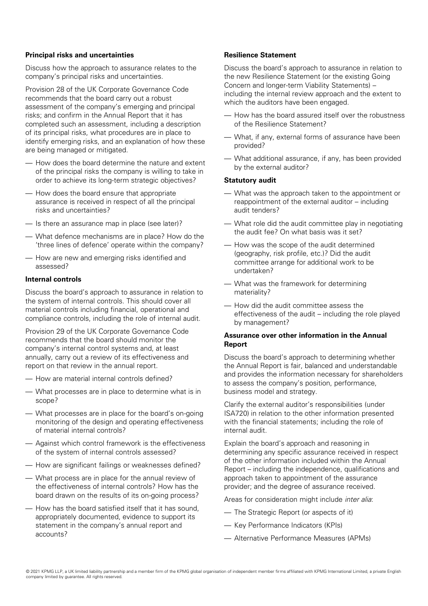## **Principal risks and uncertainties**

Discuss how the approach to assurance relates to the company's principal risks and uncertainties.

Provision 28 of the UK Corporate Governance Code recommends that the board carry out a robust assessment of the company's emerging and principal risks; and confirm in the Annual Report that it has completed such an assessment, including a description of its principal risks, what procedures are in place to identify emerging risks, and an explanation of how these are being managed or mitigated.

- How does the board determine the nature and extent of the principal risks the company is willing to take in order to achieve its long-term strategic objectives?
- How does the board ensure that appropriate assurance is received in respect of all the principal risks and uncertainties?
- Is there an assurance map in place (see later)?
- What defence mechanisms are in place? How do the 'three lines of defence' operate within the company?
- How are new and emerging risks identified and assessed?

## **Internal controls**

Discuss the board's approach to assurance in relation to the system of internal controls. This should cover all material controls including financial, operational and compliance controls, including the role of internal audit.

Provision 29 of the UK Corporate Governance Code recommends that the board should monitor the company's internal control systems and, at least annually, carry out a review of its effectiveness and report on that review in the annual report.

- How are material internal controls defined?
- What processes are in place to determine what is in scope?
- What processes are in place for the board's on-going monitoring of the design and operating effectiveness of material internal controls?
- Against which control framework is the effectiveness of the system of internal controls assessed?
- How are significant failings or weaknesses defined?
- What process are in place for the annual review of the effectiveness of internal controls? How has the board drawn on the results of its on-going process?
- How has the board satisfied itself that it has sound, appropriately documented, evidence to support its statement in the company's annual report and accounts?

## **Resilience Statement**

Discuss the board's approach to assurance in relation to the new Resilience Statement (or the existing Going Concern and longer-term Viability Statements) – including the internal review approach and the extent to which the auditors have been engaged.

- How has the board assured itself over the robustness of the Resilience Statement?
- What, if any, external forms of assurance have been provided?
- What additional assurance, if any, has been provided by the external auditor?

#### **Statutory audit**

- What was the approach taken to the appointment or reappointment of the external auditor – including audit tenders?
- What role did the audit committee play in negotiating the audit fee? On what basis was it set?
- How was the scope of the audit determined (geography, risk profile, etc.)? Did the audit committee arrange for additional work to be undertaken?
- What was the framework for determining materiality?
- How did the audit committee assess the effectiveness of the audit – including the role played by management?

## **Assurance over other information in the Annual Report**

Discuss the board's approach to determining whether the Annual Report is fair, balanced and understandable and provides the information necessary for shareholders to assess the company's position, performance, business model and strategy.

Clarify the external auditor's responsibilities (under ISA720) in relation to the other information presented with the financial statements; including the role of internal audit.

Explain the board's approach and reasoning in determining any specific assurance received in respect of the other information included within the Annual Report – including the independence, qualifications and approach taken to appointment of the assurance provider; and the degree of assurance received.

Areas for consideration might include inter alia:

- The Strategic Report (or aspects of it)
- Key Performance Indicators (KPIs)
- Alternative Performance Measures (APMs)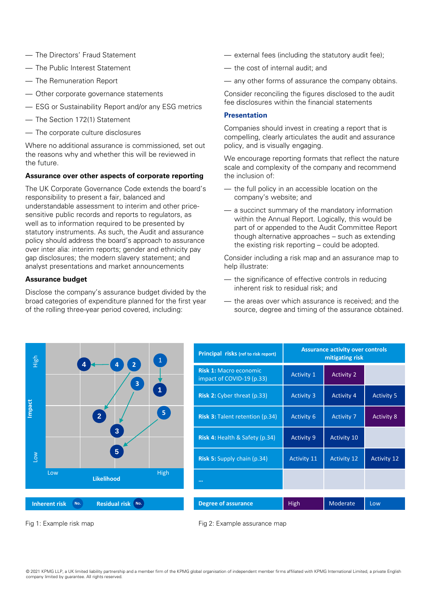- The Directors' Fraud Statement
- The Public Interest Statement
- The Remuneration Report
- Other corporate governance statements
- ESG or Sustainability Report and/or any ESG metrics
- The Section 172(1) Statement
- The corporate culture disclosures

Where no additional assurance is commissioned, set out the reasons why and whether this will be reviewed in the future.

## **Assurance over other aspects of corporate reporting**

The UK Corporate Governance Code extends the board's responsibility to present a fair, balanced and understandable assessment to interim and other pricesensitive public records and reports to regulators, as well as to information required to be presented by statutory instruments. As such, the Audit and assurance policy should address the board's approach to assurance over inter alia: interim reports; gender and ethnicity pay gap disclosures; the modern slavery statement; and analyst presentations and market announcements

## **Assurance budget**

Disclose the company's assurance budget divided by the broad categories of expenditure planned for the first year of the rolling three-year period covered, including:

- external fees (including the statutory audit fee);
- the cost of internal audit; and
- any other forms of assurance the company obtains.

Consider reconciling the figures disclosed to the audit fee disclosures within the financial statements

#### **Presentation**

Companies should invest in creating a report that is compelling, clearly articulates the audit and assurance policy, and is visually engaging.

We encourage reporting formats that reflect the nature scale and complexity of the company and recommend the inclusion of:

- the full policy in an accessible location on the company's website; and
- a succinct summary of the mandatory information within the Annual Report. Logically, this would be part of or appended to the Audit Committee Report though alternative approaches – such as extending the existing risk reporting – could be adopted.

Consider including a risk map and an assurance map to help illustrate:

- the significance of effective controls in reducing inherent risk to residual risk; and
- the areas over which assurance is received; and the source, degree and timing of the assurance obtained.



| <b>Principal risks (ref to risk report)</b>                | <b>Assurance activity over controls</b><br>mitigating risk |                    |                    |
|------------------------------------------------------------|------------------------------------------------------------|--------------------|--------------------|
| <b>Risk 1: Macro economic</b><br>impact of COVID-19 (p.33) | <b>Activity 1</b>                                          | <b>Activity 2</b>  |                    |
| <b>Risk 2:</b> Cyber threat (p.33)                         | <b>Activity 3</b>                                          | <b>Activity 4</b>  | <b>Activity 5</b>  |
| <b>Risk 3: Talent retention (p.34)</b>                     | <b>Activity 6</b>                                          | <b>Activity 7</b>  | <b>Activity 8</b>  |
| <b>Risk 4: Health &amp; Safety (p.34)</b>                  | <b>Activity 9</b>                                          | <b>Activity 10</b> |                    |
| <b>Risk 5:</b> Supply chain (p.34)                         | <b>Activity 11</b>                                         | <b>Activity 12</b> | <b>Activity 12</b> |
|                                                            |                                                            |                    |                    |
|                                                            |                                                            |                    |                    |
| <b>Degree of assurance</b>                                 | High                                                       | Moderate           | Low                |

Fig 1: Example risk map

Fig 2: Example assurance map